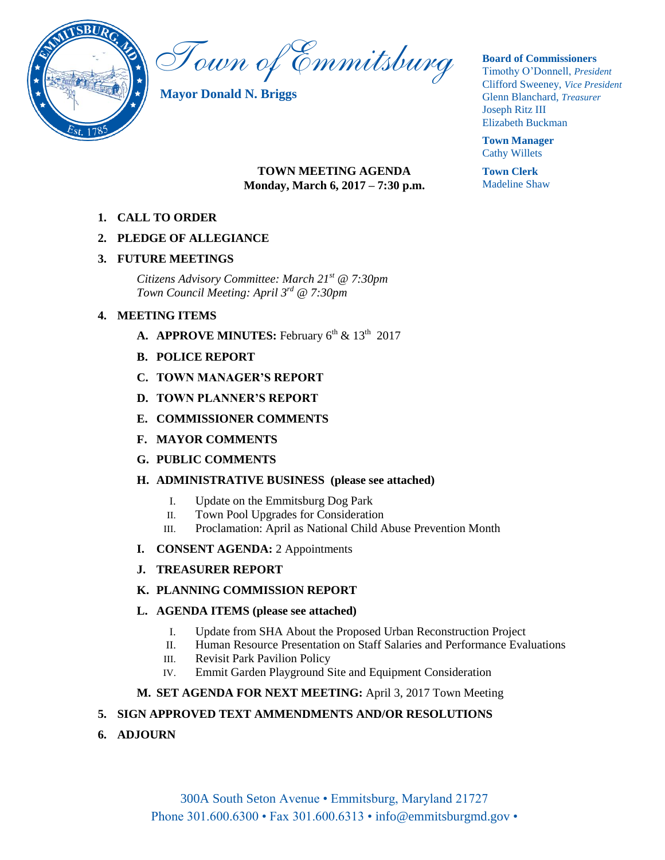

Town of Emmitsburg

**Mayor Donald N. Briggs**

#### **Board of Commissioners**

Timothy O'Donnell, *President*  Clifford Sweeney, *Vice President*  Glenn Blanchard, *Treasurer*  Joseph Ritz III Elizabeth Buckman

**Town Manager** Cathy Willets

**Town Clerk** Madeline Shaw

## **TOWN MEETING AGENDA Monday, March 6, 2017 – 7:30 p.m.**

**1. CALL TO ORDER**

## **2. PLEDGE OF ALLEGIANCE**

## **3. FUTURE MEETINGS**

*Citizens Advisory Committee: March 21st @ 7:30pm Town Council Meeting: April 3rd @ 7:30pm*

## **4. MEETING ITEMS**

- **A. APPROVE MINUTES:** February  $6^{th}$  &  $13^{th}$  2017
- **B. POLICE REPORT**
- **C. TOWN MANAGER'S REPORT**
- **D. TOWN PLANNER'S REPORT**
- **E. COMMISSIONER COMMENTS**
- **F. MAYOR COMMENTS**
- **G. PUBLIC COMMENTS**

## **H. ADMINISTRATIVE BUSINESS (please see attached)**

- I. Update on the Emmitsburg Dog Park
- II. Town Pool Upgrades for Consideration
- III. Proclamation: April as National Child Abuse Prevention Month
- **I. CONSENT AGENDA:** 2 Appointments
- **J. TREASURER REPORT**

## **K. PLANNING COMMISSION REPORT**

## **L. AGENDA ITEMS (please see attached)**

- I. Update from SHA About the Proposed Urban Reconstruction Project
- II. Human Resource Presentation on Staff Salaries and Performance Evaluations
- III. Revisit Park Pavilion Policy
- IV. Emmit Garden Playground Site and Equipment Consideration

## **M. SET AGENDA FOR NEXT MEETING:** April 3, 2017 Town Meeting

## **5. SIGN APPROVED TEXT AMMENDMENTS AND/OR RESOLUTIONS**

**6. ADJOURN**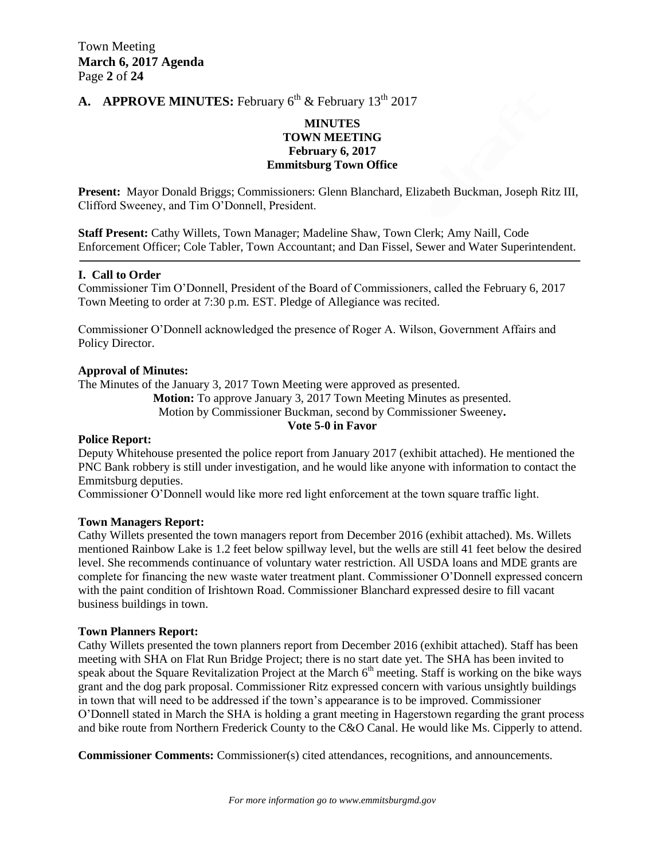## **A. APPROVE MINUTES:** February  $6^{th}$  & February  $13^{th}$  2017

## **MINUTES TOWN MEETING February 6, 2017 Emmitsburg Town Office**

**Present:** Mayor Donald Briggs; Commissioners: Glenn Blanchard, Elizabeth Buckman, Joseph Ritz III, Clifford Sweeney, and Tim O'Donnell, President.

**Staff Present:** Cathy Willets, Town Manager; Madeline Shaw, Town Clerk; Amy Naill, Code Enforcement Officer; Cole Tabler, Town Accountant; and Dan Fissel, Sewer and Water Superintendent.

## **I. Call to Order**

Commissioner Tim O'Donnell, President of the Board of Commissioners, called the February 6, 2017 Town Meeting to order at 7:30 p.m. EST. Pledge of Allegiance was recited.

Commissioner O'Donnell acknowledged the presence of Roger A. Wilson, Government Affairs and Policy Director.

## **Approval of Minutes:**

The Minutes of the January 3, 2017 Town Meeting were approved as presented.

**Motion:** To approve January 3, 2017 Town Meeting Minutes as presented.

Motion by Commissioner Buckman, second by Commissioner Sweeney**.**

## **Vote 5-0 in Favor**

#### **Police Report:**

Deputy Whitehouse presented the police report from January 2017 (exhibit attached). He mentioned the PNC Bank robbery is still under investigation, and he would like anyone with information to contact the Emmitsburg deputies.

Commissioner O'Donnell would like more red light enforcement at the town square traffic light.

#### **Town Managers Report:**

Cathy Willets presented the town managers report from December 2016 (exhibit attached). Ms. Willets mentioned Rainbow Lake is 1.2 feet below spillway level, but the wells are still 41 feet below the desired level. She recommends continuance of voluntary water restriction. All USDA loans and MDE grants are complete for financing the new waste water treatment plant. Commissioner O'Donnell expressed concern with the paint condition of Irishtown Road. Commissioner Blanchard expressed desire to fill vacant business buildings in town.

#### **Town Planners Report:**

Cathy Willets presented the town planners report from December 2016 (exhibit attached). Staff has been meeting with SHA on Flat Run Bridge Project; there is no start date yet. The SHA has been invited to speak about the Square Revitalization Project at the March  $6<sup>th</sup>$  meeting. Staff is working on the bike ways grant and the dog park proposal. Commissioner Ritz expressed concern with various unsightly buildings in town that will need to be addressed if the town's appearance is to be improved. Commissioner O'Donnell stated in March the SHA is holding a grant meeting in Hagerstown regarding the grant process and bike route from Northern Frederick County to the C&O Canal. He would like Ms. Cipperly to attend.

**Commissioner Comments:** Commissioner(s) cited attendances, recognitions, and announcements.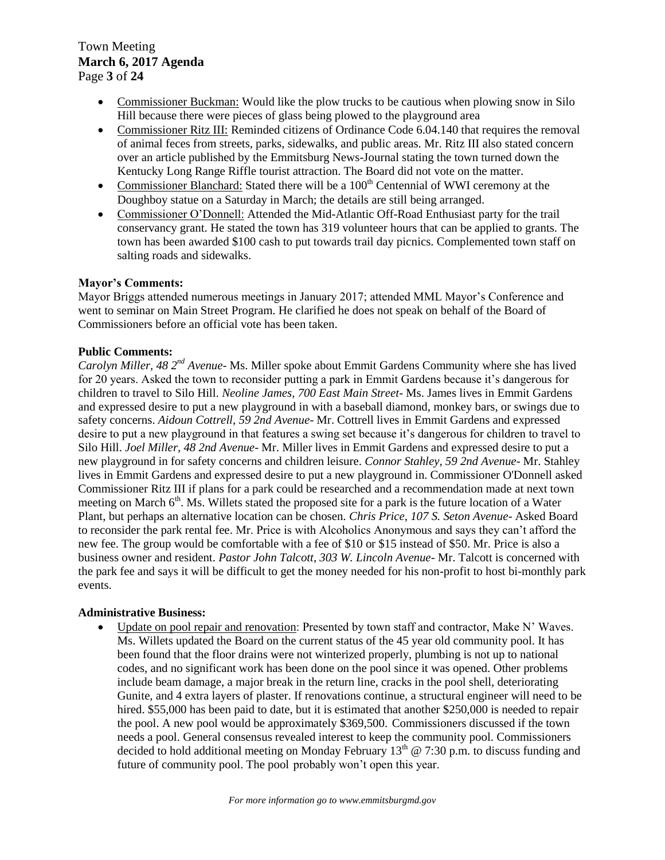Town Meeting **March 6, 2017 Agenda**  Page **3** of **24**

- Commissioner Buckman: Would like the plow trucks to be cautious when plowing snow in Silo Hill because there were pieces of glass being plowed to the playground area
- Commissioner Ritz III: Reminded citizens of Ordinance Code 6.04.140 that requires the removal of animal feces from streets, parks, sidewalks, and public areas. Mr. Ritz III also stated concern over an article published by the Emmitsburg News-Journal stating the town turned down the Kentucky Long Range Riffle tourist attraction. The Board did not vote on the matter.
- Commissioner Blanchard: Stated there will be a 100<sup>th</sup> Centennial of WWI ceremony at the Doughboy statue on a Saturday in March; the details are still being arranged.
- Commissioner O'Donnell: Attended the Mid-Atlantic Off-Road Enthusiast party for the trail conservancy grant. He stated the town has 319 volunteer hours that can be applied to grants. The town has been awarded \$100 cash to put towards trail day picnics. Complemented town staff on salting roads and sidewalks.

## **Mayor's Comments:**

Mayor Briggs attended numerous meetings in January 2017; attended MML Mayor's Conference and went to seminar on Main Street Program. He clarified he does not speak on behalf of the Board of Commissioners before an official vote has been taken.

## **Public Comments:**

*Carolyn Miller, 48 2nd Avenue*- Ms. Miller spoke about Emmit Gardens Community where she has lived for 20 years. Asked the town to reconsider putting a park in Emmit Gardens because it's dangerous for children to travel to Silo Hill. *Neoline James, 700 East Main Street*- Ms. James lives in Emmit Gardens and expressed desire to put a new playground in with a baseball diamond, monkey bars, or swings due to safety concerns. *Aidoun Cottrell, 59 2nd Avenue*- Mr. Cottrell lives in Emmit Gardens and expressed desire to put a new playground in that features a swing set because it's dangerous for children to travel to Silo Hill. *Joel Miller, 48 2nd Avenue*- Mr. Miller lives in Emmit Gardens and expressed desire to put a new playground in for safety concerns and children leisure. *Connor Stahley, 59 2nd Avenue*- Mr. Stahley lives in Emmit Gardens and expressed desire to put a new playground in. Commissioner O'Donnell asked Commissioner Ritz III if plans for a park could be researched and a recommendation made at next town meeting on March  $6<sup>th</sup>$ . Ms. Willets stated the proposed site for a park is the future location of a Water Plant, but perhaps an alternative location can be chosen. *Chris Price, 107 S. Seton Avenue*- Asked Board to reconsider the park rental fee. Mr. Price is with Alcoholics Anonymous and says they can't afford the new fee. The group would be comfortable with a fee of \$10 or \$15 instead of \$50. Mr. Price is also a business owner and resident. *Pastor John Talcott, 303 W. Lincoln Avenue*- Mr. Talcott is concerned with the park fee and says it will be difficult to get the money needed for his non-profit to host bi-monthly park events.

## **Administrative Business:**

 Update on pool repair and renovation: Presented by town staff and contractor, Make N' Waves. Ms. Willets updated the Board on the current status of the 45 year old community pool. It has been found that the floor drains were not winterized properly, plumbing is not up to national codes, and no significant work has been done on the pool since it was opened. Other problems include beam damage, a major break in the return line, cracks in the pool shell, deteriorating Gunite, and 4 extra layers of plaster. If renovations continue, a structural engineer will need to be hired. \$55,000 has been paid to date, but it is estimated that another \$250,000 is needed to repair the pool. A new pool would be approximately \$369,500. Commissioners discussed if the town needs a pool. General consensus revealed interest to keep the community pool. Commissioners decided to hold additional meeting on Monday February  $13<sup>th</sup>$  @ 7:30 p.m. to discuss funding and future of community pool. The pool probably won't open this year.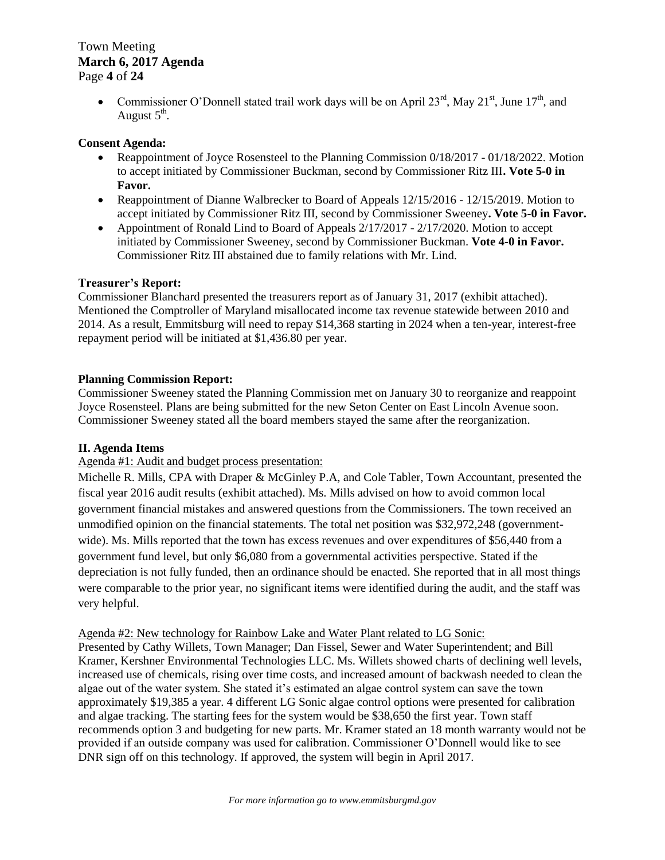## Town Meeting **March 6, 2017 Agenda**  Page **4** of **24**

• Commissioner O'Donnell stated trail work days will be on April  $23^{rd}$ , May  $21^{st}$ , June  $17^{th}$ , and August  $5^{\text{th}}$ .

## **Consent Agenda:**

- Reappointment of Joyce Rosensteel to the Planning Commission 0/18/2017 01/18/2022. Motion to accept initiated by Commissioner Buckman, second by Commissioner Ritz III**. Vote 5-0 in Favor.**
- Reappointment of Dianne Walbrecker to Board of Appeals 12/15/2016 12/15/2019. Motion to accept initiated by Commissioner Ritz III, second by Commissioner Sweeney**. Vote 5-0 in Favor.**
- Appointment of Ronald Lind to Board of Appeals  $2/17/2017 2/17/2020$ . Motion to accept initiated by Commissioner Sweeney, second by Commissioner Buckman. **Vote 4-0 in Favor.** Commissioner Ritz III abstained due to family relations with Mr. Lind.

## **Treasurer's Report:**

Commissioner Blanchard presented the treasurers report as of January 31, 2017 (exhibit attached). Mentioned the Comptroller of Maryland misallocated income tax revenue statewide between 2010 and 2014. As a result, Emmitsburg will need to repay \$14,368 starting in 2024 when a ten-year, interest-free repayment period will be initiated at \$1,436.80 per year.

## **Planning Commission Report:**

Commissioner Sweeney stated the Planning Commission met on January 30 to reorganize and reappoint Joyce Rosensteel. Plans are being submitted for the new Seton Center on East Lincoln Avenue soon. Commissioner Sweeney stated all the board members stayed the same after the reorganization.

## **II. Agenda Items**

## Agenda #1: Audit and budget process presentation:

Michelle R. Mills, CPA with Draper & McGinley P.A, and Cole Tabler, Town Accountant, presented the fiscal year 2016 audit results (exhibit attached). Ms. Mills advised on how to avoid common local government financial mistakes and answered questions from the Commissioners. The town received an unmodified opinion on the financial statements. The total net position was \$32,972,248 (governmentwide). Ms. Mills reported that the town has excess revenues and over expenditures of \$56,440 from a government fund level, but only \$6,080 from a governmental activities perspective. Stated if the depreciation is not fully funded, then an ordinance should be enacted. She reported that in all most things were comparable to the prior year, no significant items were identified during the audit, and the staff was very helpful.

## Agenda #2: New technology for Rainbow Lake and Water Plant related to LG Sonic:

Presented by Cathy Willets, Town Manager; Dan Fissel, Sewer and Water Superintendent; and Bill Kramer, Kershner Environmental Technologies LLC. Ms. Willets showed charts of declining well levels, increased use of chemicals, rising over time costs, and increased amount of backwash needed to clean the algae out of the water system. She stated it's estimated an algae control system can save the town approximately \$19,385 a year. 4 different LG Sonic algae control options were presented for calibration and algae tracking. The starting fees for the system would be \$38,650 the first year. Town staff recommends option 3 and budgeting for new parts. Mr. Kramer stated an 18 month warranty would not be provided if an outside company was used for calibration. Commissioner O'Donnell would like to see DNR sign off on this technology. If approved, the system will begin in April 2017.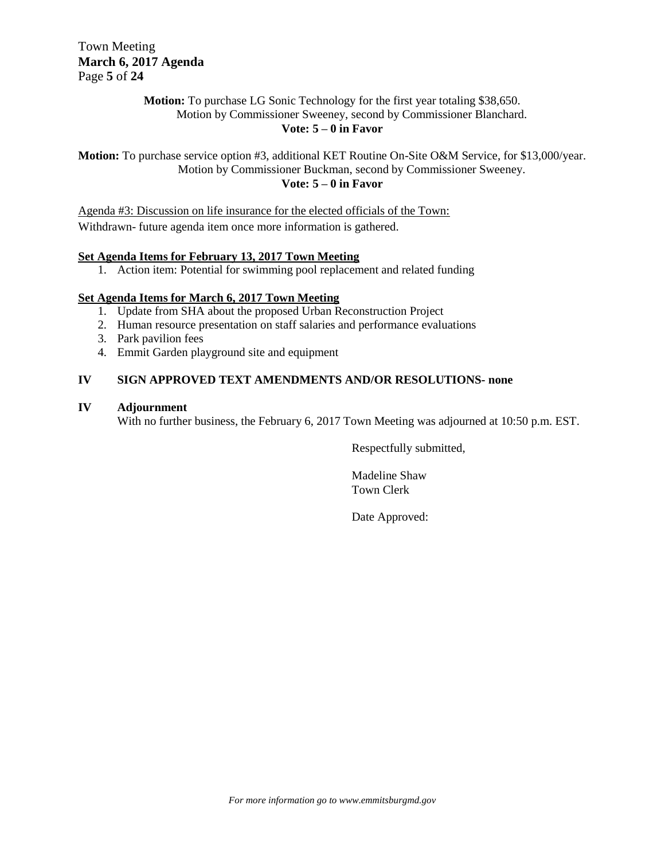Town Meeting **March 6, 2017 Agenda**  Page **5** of **24**

## **Motion:** To purchase LG Sonic Technology for the first year totaling \$38,650. Motion by Commissioner Sweeney, second by Commissioner Blanchard. **Vote: 5 – 0 in Favor**

**Motion:** To purchase service option #3, additional KET Routine On-Site O&M Service, for \$13,000/year. Motion by Commissioner Buckman, second by Commissioner Sweeney. **Vote: 5 – 0 in Favor**

Agenda #3: Discussion on life insurance for the elected officials of the Town: Withdrawn- future agenda item once more information is gathered.

## **Set Agenda Items for February 13, 2017 Town Meeting**

1. Action item: Potential for swimming pool replacement and related funding

## **Set Agenda Items for March 6, 2017 Town Meeting**

- 1. Update from SHA about the proposed Urban Reconstruction Project
- 2. Human resource presentation on staff salaries and performance evaluations
- 3. Park pavilion fees
- 4. Emmit Garden playground site and equipment

## **IV SIGN APPROVED TEXT AMENDMENTS AND/OR RESOLUTIONS- none**

## **IV Adjournment**

With no further business, the February 6, 2017 Town Meeting was adjourned at 10:50 p.m. EST.

Respectfully submitted,

Madeline Shaw Town Clerk

Date Approved: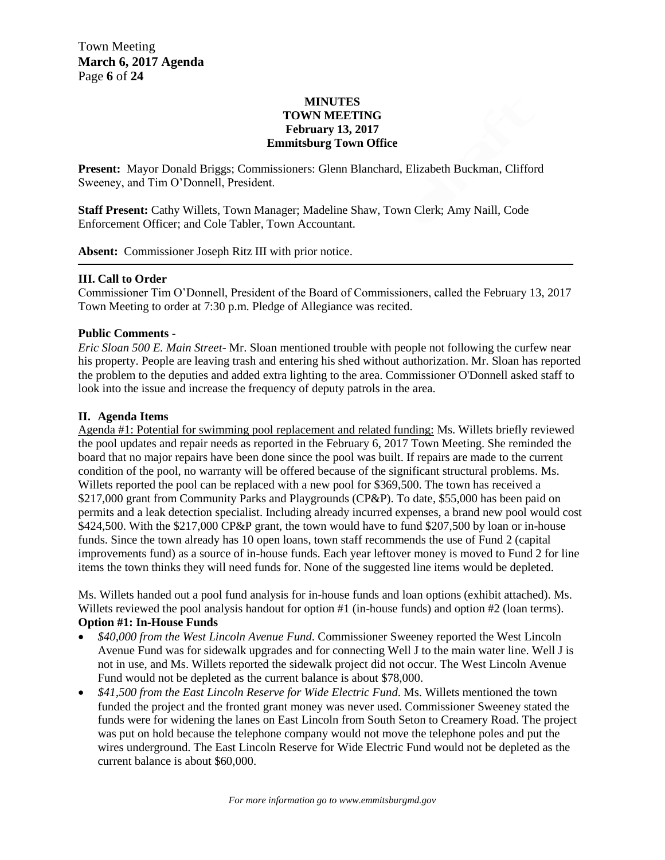## **MINUTES TOWN MEETING February 13, 2017 Emmitsburg Town Office**

**Present:** Mayor Donald Briggs; Commissioners: Glenn Blanchard, Elizabeth Buckman, Clifford Sweeney, and Tim O'Donnell, President.

**Staff Present:** Cathy Willets, Town Manager; Madeline Shaw, Town Clerk; Amy Naill, Code Enforcement Officer; and Cole Tabler, Town Accountant.

**Absent:** Commissioner Joseph Ritz III with prior notice.

## **III. Call to Order**

Commissioner Tim O'Donnell, President of the Board of Commissioners, called the February 13, 2017 Town Meeting to order at 7:30 p.m. Pledge of Allegiance was recited.

## **Public Comments** -

*Eric Sloan 500 E. Main Street*- Mr. Sloan mentioned trouble with people not following the curfew near his property. People are leaving trash and entering his shed without authorization. Mr. Sloan has reported the problem to the deputies and added extra lighting to the area. Commissioner O'Donnell asked staff to look into the issue and increase the frequency of deputy patrols in the area.

## **II. Agenda Items**

Agenda #1: Potential for swimming pool replacement and related funding: Ms. Willets briefly reviewed the pool updates and repair needs as reported in the February 6, 2017 Town Meeting. She reminded the board that no major repairs have been done since the pool was built. If repairs are made to the current condition of the pool, no warranty will be offered because of the significant structural problems. Ms. Willets reported the pool can be replaced with a new pool for \$369,500. The town has received a \$217,000 grant from Community Parks and Playgrounds (CP&P). To date, \$55,000 has been paid on permits and a leak detection specialist. Including already incurred expenses, a brand new pool would cost \$424,500. With the \$217,000 CP&P grant, the town would have to fund \$207,500 by loan or in-house funds. Since the town already has 10 open loans, town staff recommends the use of Fund 2 (capital improvements fund) as a source of in-house funds. Each year leftover money is moved to Fund 2 for line items the town thinks they will need funds for. None of the suggested line items would be depleted.

Ms. Willets handed out a pool fund analysis for in-house funds and loan options (exhibit attached). Ms. Willets reviewed the pool analysis handout for option #1 (in-house funds) and option #2 (loan terms). **Option #1: In-House Funds**

- *\$40,000 from the West Lincoln Avenue Fund*. Commissioner Sweeney reported the West Lincoln Avenue Fund was for sidewalk upgrades and for connecting Well J to the main water line. Well J is not in use, and Ms. Willets reported the sidewalk project did not occur. The West Lincoln Avenue Fund would not be depleted as the current balance is about \$78,000.
- *\$41,500 from the East Lincoln Reserve for Wide Electric Fund*. Ms. Willets mentioned the town funded the project and the fronted grant money was never used. Commissioner Sweeney stated the funds were for widening the lanes on East Lincoln from South Seton to Creamery Road. The project was put on hold because the telephone company would not move the telephone poles and put the wires underground. The East Lincoln Reserve for Wide Electric Fund would not be depleted as the current balance is about \$60,000.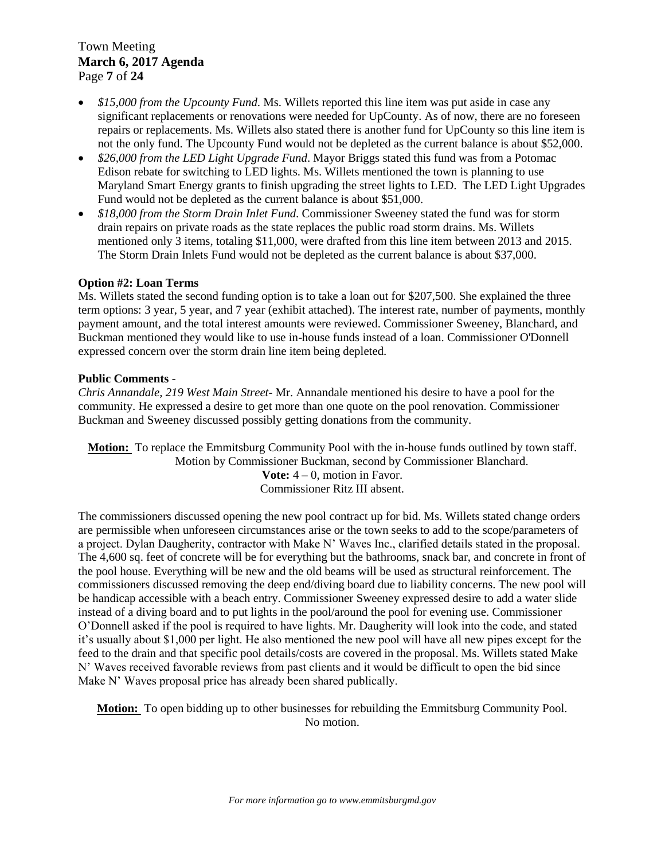Town Meeting **March 6, 2017 Agenda**  Page **7** of **24**

- *\$15,000 from the Upcounty Fund*. Ms. Willets reported this line item was put aside in case any significant replacements or renovations were needed for UpCounty. As of now, there are no foreseen repairs or replacements. Ms. Willets also stated there is another fund for UpCounty so this line item is not the only fund. The Upcounty Fund would not be depleted as the current balance is about \$52,000.
- *\$26,000 from the LED Light Upgrade Fund*. Mayor Briggs stated this fund was from a Potomac Edison rebate for switching to LED lights. Ms. Willets mentioned the town is planning to use Maryland Smart Energy grants to finish upgrading the street lights to LED. The LED Light Upgrades Fund would not be depleted as the current balance is about \$51,000.
- *\$18,000 from the Storm Drain Inlet Fund*. Commissioner Sweeney stated the fund was for storm drain repairs on private roads as the state replaces the public road storm drains. Ms. Willets mentioned only 3 items, totaling \$11,000, were drafted from this line item between 2013 and 2015. The Storm Drain Inlets Fund would not be depleted as the current balance is about \$37,000.

## **Option #2: Loan Terms**

Ms. Willets stated the second funding option is to take a loan out for \$207,500. She explained the three term options: 3 year, 5 year, and 7 year (exhibit attached). The interest rate, number of payments, monthly payment amount, and the total interest amounts were reviewed. Commissioner Sweeney, Blanchard, and Buckman mentioned they would like to use in-house funds instead of a loan. Commissioner O'Donnell expressed concern over the storm drain line item being depleted.

## **Public Comments** -

*Chris Annandale, 219 West Main Street*- Mr. Annandale mentioned his desire to have a pool for the community. He expressed a desire to get more than one quote on the pool renovation. Commissioner Buckman and Sweeney discussed possibly getting donations from the community.

**Motion:** To replace the Emmitsburg Community Pool with the in-house funds outlined by town staff. Motion by Commissioner Buckman, second by Commissioner Blanchard. **Vote:** 4 – 0, motion in Favor. Commissioner Ritz III absent.

The commissioners discussed opening the new pool contract up for bid. Ms. Willets stated change orders are permissible when unforeseen circumstances arise or the town seeks to add to the scope/parameters of a project. Dylan Daugherity, contractor with Make N' Waves Inc., clarified details stated in the proposal. The 4,600 sq. feet of concrete will be for everything but the bathrooms, snack bar, and concrete in front of the pool house. Everything will be new and the old beams will be used as structural reinforcement. The commissioners discussed removing the deep end/diving board due to liability concerns. The new pool will be handicap accessible with a beach entry. Commissioner Sweeney expressed desire to add a water slide instead of a diving board and to put lights in the pool/around the pool for evening use. Commissioner O'Donnell asked if the pool is required to have lights. Mr. Daugherity will look into the code, and stated it's usually about \$1,000 per light. He also mentioned the new pool will have all new pipes except for the feed to the drain and that specific pool details/costs are covered in the proposal. Ms. Willets stated Make N' Waves received favorable reviews from past clients and it would be difficult to open the bid since Make N' Waves proposal price has already been shared publically.

**Motion:** To open bidding up to other businesses for rebuilding the Emmitsburg Community Pool. No motion.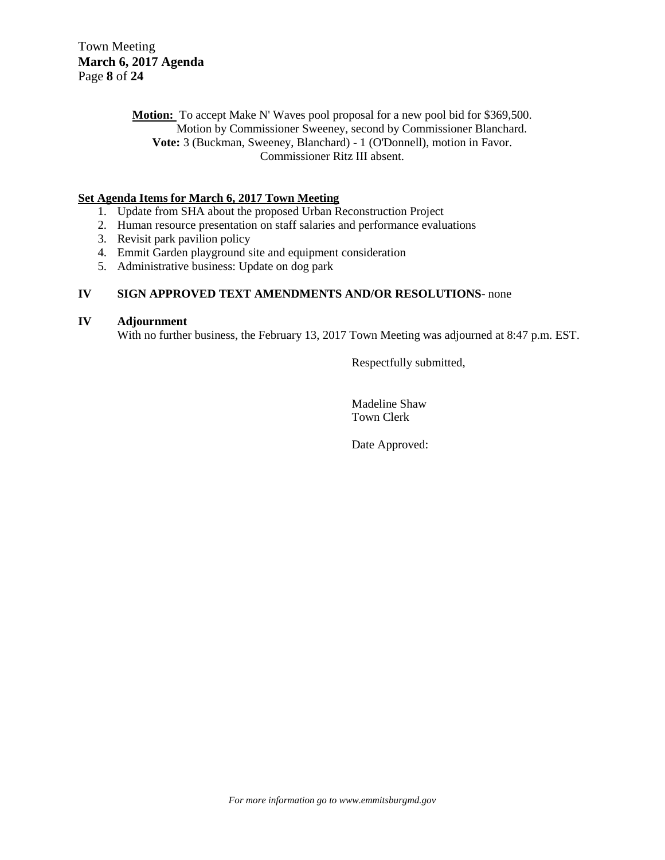**Motion:** To accept Make N' Waves pool proposal for a new pool bid for \$369,500. Motion by Commissioner Sweeney, second by Commissioner Blanchard. **Vote:** 3 (Buckman, Sweeney, Blanchard) - 1 (O'Donnell), motion in Favor. Commissioner Ritz III absent.

## **Set Agenda Items for March 6, 2017 Town Meeting**

- 1. Update from SHA about the proposed Urban Reconstruction Project
- 2. Human resource presentation on staff salaries and performance evaluations
- 3. Revisit park pavilion policy
- 4. Emmit Garden playground site and equipment consideration
- 5. Administrative business: Update on dog park

## **IV SIGN APPROVED TEXT AMENDMENTS AND/OR RESOLUTIONS**- none

## **IV Adjournment**

With no further business, the February 13, 2017 Town Meeting was adjourned at 8:47 p.m. EST.

Respectfully submitted,

Madeline Shaw Town Clerk

Date Approved: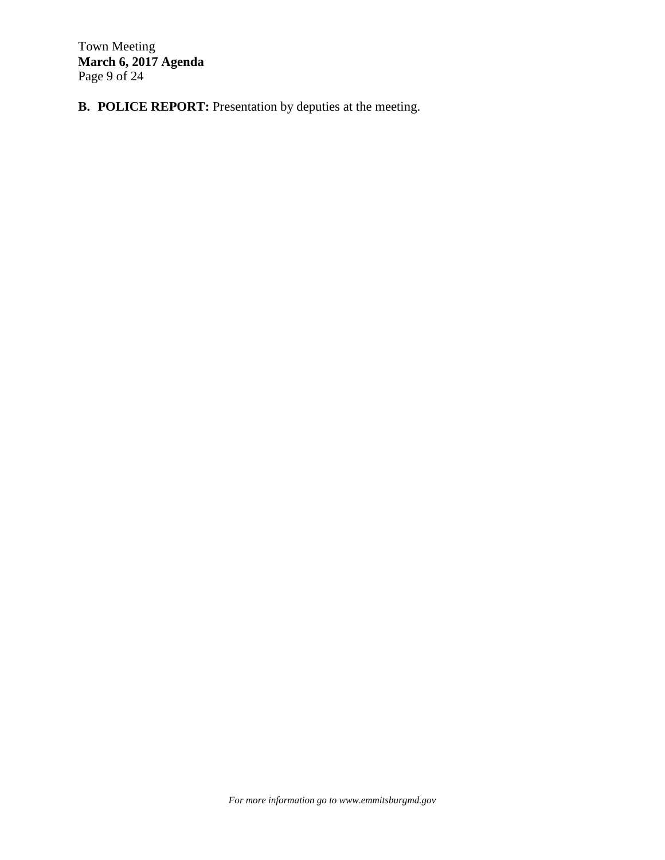Town Meeting **March 6, 2017 Agenda**  Page 9 of 24

**B. POLICE REPORT:** Presentation by deputies at the meeting.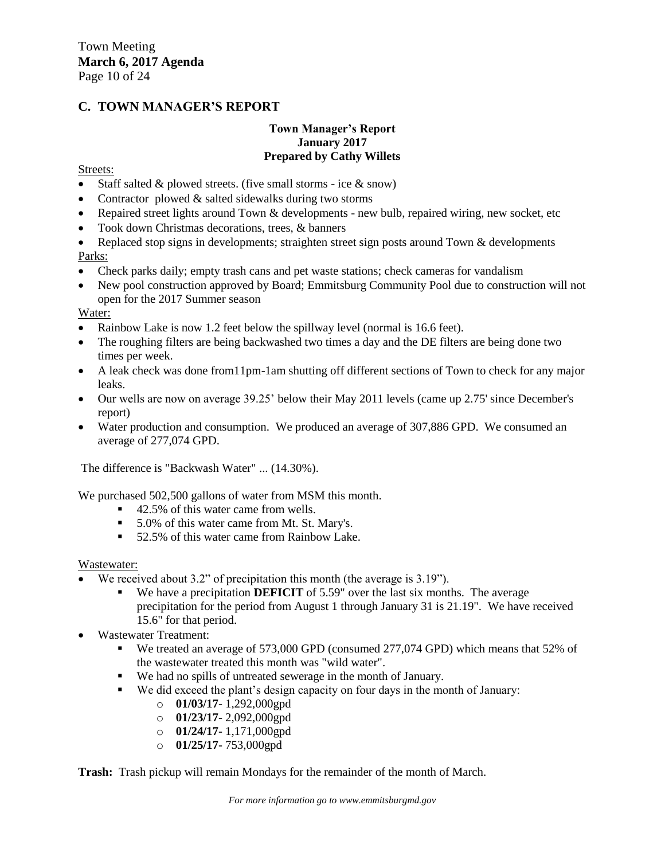## **C. TOWN MANAGER'S REPORT**

## **Town Manager's Report January 2017 Prepared by Cathy Willets**

## Streets:

- Staff salted  $&$  plowed streets. (five small storms ice  $&$  snow)
- Contractor plowed  $&$  salted sidewalks during two storms
- Repaired street lights around Town & developments new bulb, repaired wiring, new socket, etc
- Took down Christmas decorations, trees, & banners
- Replaced stop signs in developments; straighten street sign posts around Town & developments Parks:
- Check parks daily; empty trash cans and pet waste stations; check cameras for vandalism
- New pool construction approved by Board; Emmitsburg Community Pool due to construction will not open for the 2017 Summer season

Water:

- Rainbow Lake is now 1.2 feet below the spillway level (normal is 16.6 feet).
- The roughing filters are being backwashed two times a day and the DE filters are being done two times per week.
- A leak check was done from11pm-1am shutting off different sections of Town to check for any major leaks.
- Our wells are now on average 39.25' below their May 2011 levels (came up 2.75' since December's report)
- Water production and consumption. We produced an average of 307,886 GPD. We consumed an average of 277,074 GPD.

The difference is "Backwash Water" ... (14.30%).

We purchased 502,500 gallons of water from MSM this month.

- 42.5% of this water came from wells.
- 5.0% of this water came from Mt. St. Mary's.
- 52.5% of this water came from Rainbow Lake.

## Wastewater:

- We received about 3.2" of precipitation this month (the average is 3.19").
	- We have a precipitation **DEFICIT** of 5.59" over the last six months. The average precipitation for the period from August 1 through January 31 is 21.19". We have received 15.6" for that period.
- Wastewater Treatment:
	- We treated an average of 573,000 GPD (consumed 277,074 GPD) which means that 52% of the wastewater treated this month was "wild water".
	- We had no spills of untreated sewerage in the month of January.
	- We did exceed the plant's design capacity on four days in the month of January:
		- o **01/03/17** 1,292,000gpd
		- o **01/23/17** 2,092,000gpd
		- o **01/24/17** 1,171,000gpd
		- o **01/25/17** 753,000gpd

**Trash:** Trash pickup will remain Mondays for the remainder of the month of March.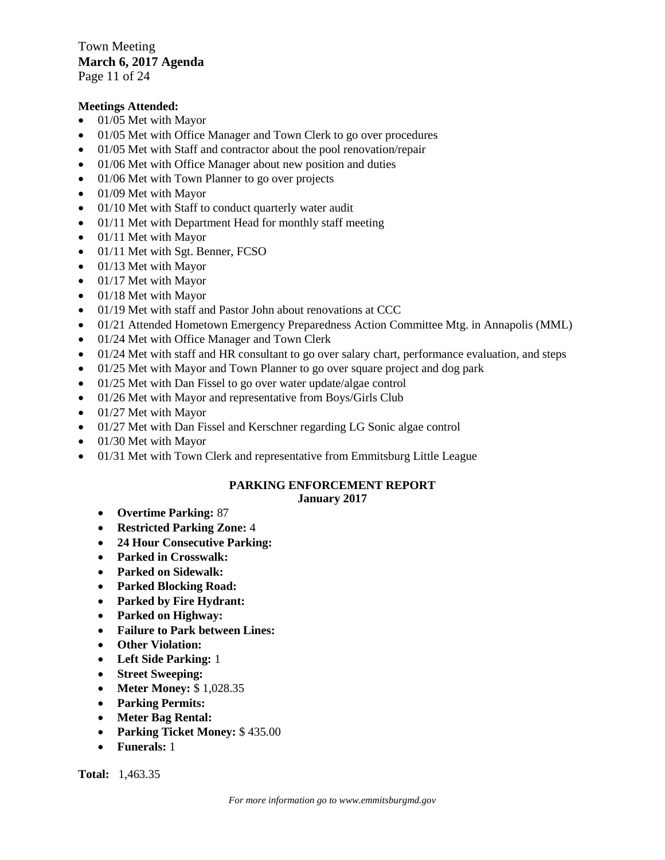Town Meeting **March 6, 2017 Agenda**  Page 11 of 24

## **Meetings Attended:**

- $\bullet$  01/05 Met with Mayor
- 01/05 Met with Office Manager and Town Clerk to go over procedures
- 01/05 Met with Staff and contractor about the pool renovation/repair
- 01/06 Met with Office Manager about new position and duties
- 01/06 Met with Town Planner to go over projects
- $\bullet$  01/09 Met with Mayor
- 01/10 Met with Staff to conduct quarterly water audit
- 01/11 Met with Department Head for monthly staff meeting
- $\bullet$  01/11 Met with Mayor
- 01/11 Met with Sgt. Benner, FCSO
- 01/13 Met with Mayor
- 01/17 Met with Mayor
- 01/18 Met with Mayor
- $\bullet$  01/19 Met with staff and Pastor John about renovations at CCC
- 01/21 Attended Hometown Emergency Preparedness Action Committee Mtg. in Annapolis (MML)
- 01/24 Met with Office Manager and Town Clerk
- $\bullet$  01/24 Met with staff and HR consultant to go over salary chart, performance evaluation, and steps
- 01/25 Met with Mayor and Town Planner to go over square project and dog park
- 01/25 Met with Dan Fissel to go over water update/algae control
- 01/26 Met with Mayor and representative from Boys/Girls Club
- $\bullet$  01/27 Met with Mayor
- 01/27 Met with Dan Fissel and Kerschner regarding LG Sonic algae control
- 01/30 Met with Mayor
- 01/31 Met with Town Clerk and representative from Emmitsburg Little League

#### **PARKING ENFORCEMENT REPORT January 2017**

- **Overtime Parking:** 87
- **Restricted Parking Zone:** 4
- **24 Hour Consecutive Parking:**
- **Parked in Crosswalk:**
- **Parked on Sidewalk:**
- **Parked Blocking Road:**
- **Parked by Fire Hydrant:**
- **Parked on Highway:**
- **Failure to Park between Lines:**
- **Other Violation:**
- **Left Side Parking:** 1
- **Street Sweeping:**
- **Meter Money:** \$ 1,028.35
- **Parking Permits:**
- **Meter Bag Rental:**
- **Parking Ticket Money:** \$ 435.00
- **Funerals:** 1

**Total:** 1,463.35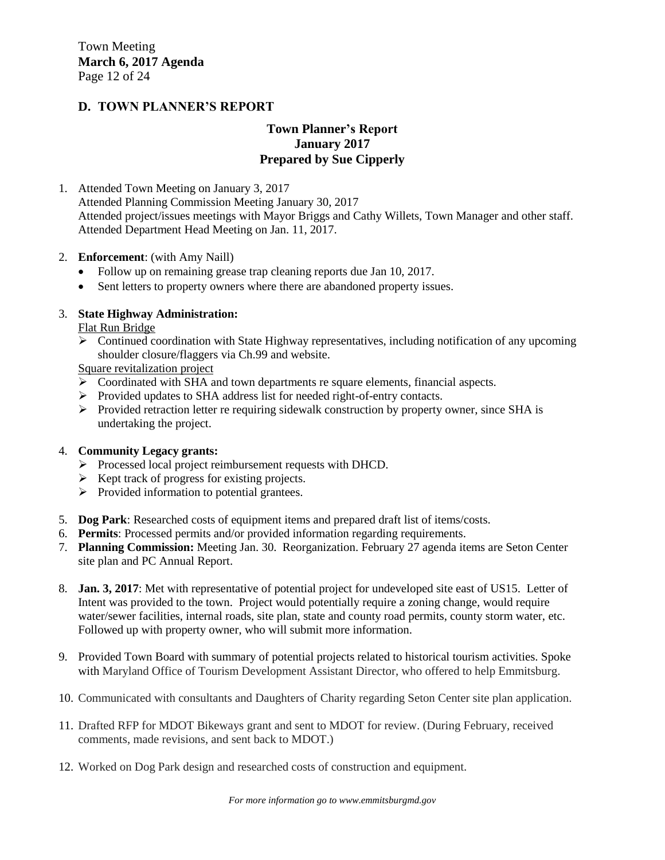## **D. TOWN PLANNER'S REPORT**

## **Town Planner's Report January 2017 Prepared by Sue Cipperly**

1. Attended Town Meeting on January 3, 2017

Attended Planning Commission Meeting January 30, 2017 Attended project/issues meetings with Mayor Briggs and Cathy Willets, Town Manager and other staff. Attended Department Head Meeting on Jan. 11, 2017.

- 2. **Enforcement**: (with Amy Naill)
	- Follow up on remaining grease trap cleaning reports due Jan 10, 2017.
	- Sent letters to property owners where there are abandoned property issues.

## 3. **State Highway Administration:**

Flat Run Bridge

 Continued coordination with State Highway representatives, including notification of any upcoming shoulder closure/flaggers via Ch.99 and website.

Square revitalization project

- Coordinated with SHA and town departments re square elements, financial aspects.
- Provided updates to SHA address list for needed right-of-entry contacts.
- $\triangleright$  Provided retraction letter re requiring sidewalk construction by property owner, since SHA is undertaking the project.

## 4. **Community Legacy grants:**

- Processed local project reimbursement requests with DHCD.
- $\triangleright$  Kept track of progress for existing projects.
- $\triangleright$  Provided information to potential grantees.
- 5. **Dog Park**: Researched costs of equipment items and prepared draft list of items/costs.
- 6. **Permits**: Processed permits and/or provided information regarding requirements.
- 7. **Planning Commission:** Meeting Jan. 30. Reorganization. February 27 agenda items are Seton Center site plan and PC Annual Report.
- 8. **Jan. 3, 2017**: Met with representative of potential project for undeveloped site east of US15. Letter of Intent was provided to the town. Project would potentially require a zoning change, would require water/sewer facilities, internal roads, site plan, state and county road permits, county storm water, etc. Followed up with property owner, who will submit more information.
- 9. Provided Town Board with summary of potential projects related to historical tourism activities. Spoke with Maryland Office of Tourism Development Assistant Director, who offered to help Emmitsburg.
- 10. Communicated with consultants and Daughters of Charity regarding Seton Center site plan application.
- 11. Drafted RFP for MDOT Bikeways grant and sent to MDOT for review. (During February, received comments, made revisions, and sent back to MDOT.)
- 12. Worked on Dog Park design and researched costs of construction and equipment.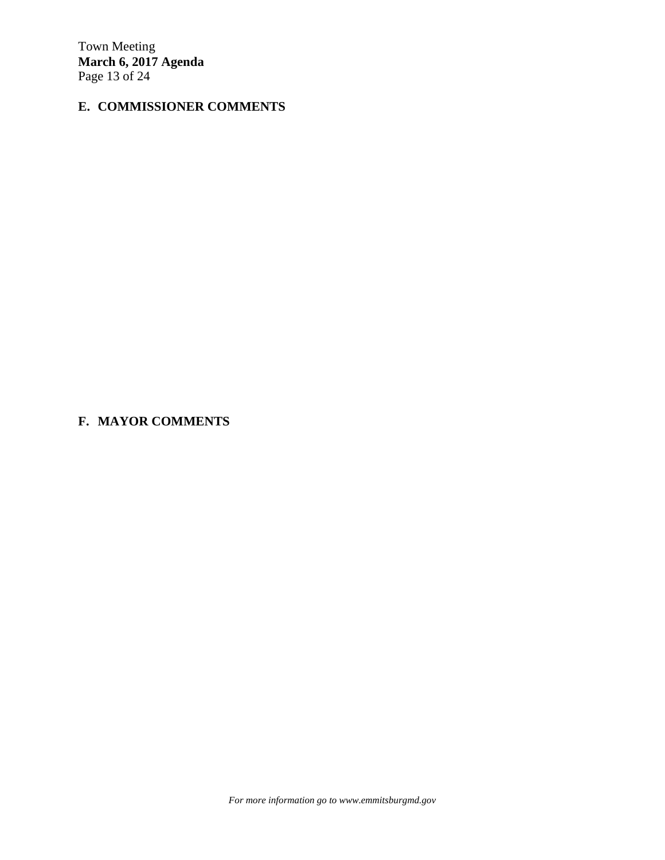Town Meeting **March 6, 2017 Agenda**  Page 13 of 24

## **E. COMMISSIONER COMMENTS**

**F. MAYOR COMMENTS**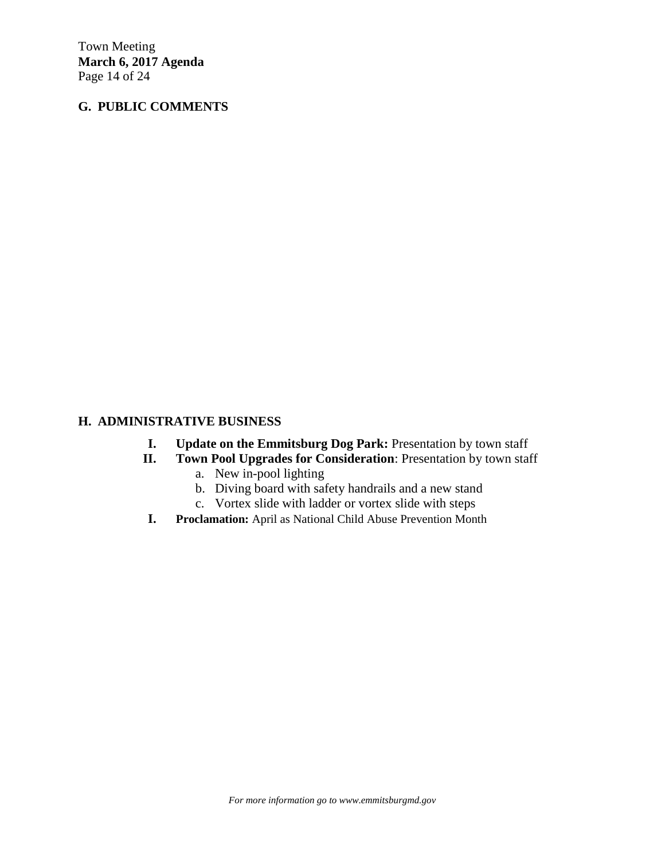Town Meeting **March 6, 2017 Agenda**  Page 14 of 24

## **G. PUBLIC COMMENTS**

## **H. ADMINISTRATIVE BUSINESS**

- **I. Update on the Emmitsburg Dog Park:** Presentation by town staff
- **II. Town Pool Upgrades for Consideration**: Presentation by town staff
	- a. New in-pool lighting
	- b. Diving board with safety handrails and a new stand
	- c. Vortex slide with ladder or vortex slide with steps
- **I. Proclamation:** April as National Child Abuse Prevention Month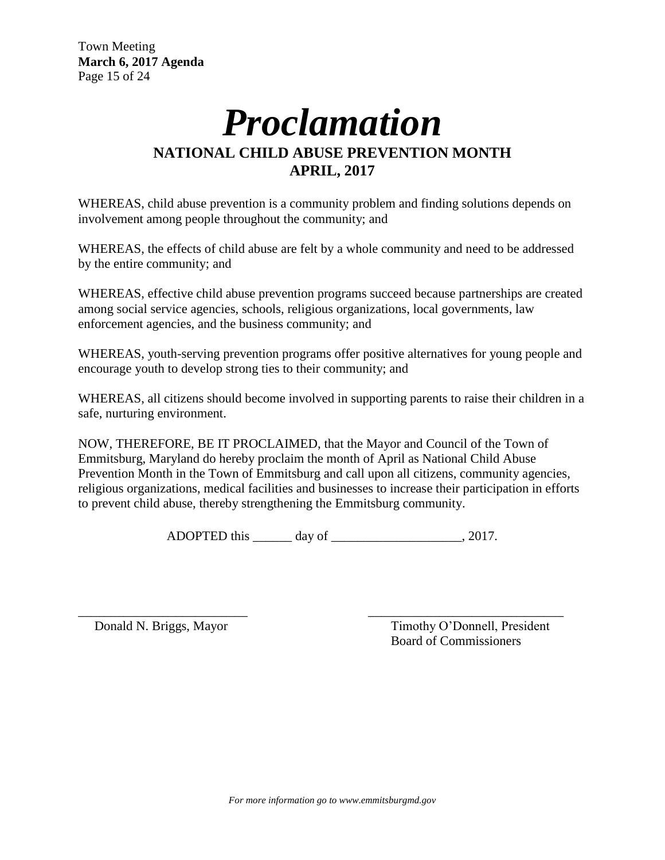# *Proclamation* **NATIONAL CHILD ABUSE PREVENTION MONTH APRIL, 2017**

WHEREAS, child abuse prevention is a community problem and finding solutions depends on involvement among people throughout the community; and

WHEREAS, the effects of child abuse are felt by a whole community and need to be addressed by the entire community; and

WHEREAS, effective child abuse prevention programs succeed because partnerships are created among social service agencies, schools, religious organizations, local governments, law enforcement agencies, and the business community; and

WHEREAS, youth-serving prevention programs offer positive alternatives for young people and encourage youth to develop strong ties to their community; and

WHEREAS, all citizens should become involved in supporting parents to raise their children in a safe, nurturing environment.

NOW, THEREFORE, BE IT PROCLAIMED, that the Mayor and Council of the Town of Emmitsburg, Maryland do hereby proclaim the month of April as National Child Abuse Prevention Month in the Town of Emmitsburg and call upon all citizens, community agencies, religious organizations, medical facilities and businesses to increase their participation in efforts to prevent child abuse, thereby strengthening the Emmitsburg community.

ADOPTED this \_\_\_\_\_\_ day of \_\_\_\_\_\_\_\_\_\_\_\_\_\_\_\_\_\_\_, 2017.

\_\_\_\_\_\_\_\_\_\_\_\_\_\_\_\_\_\_\_\_\_\_\_\_\_\_ \_\_\_\_\_\_\_\_\_\_\_\_\_\_\_\_\_\_\_\_\_\_\_\_\_\_\_\_\_\_ Donald N. Briggs, Mayor Timothy O'Donnell, President Board of Commissioners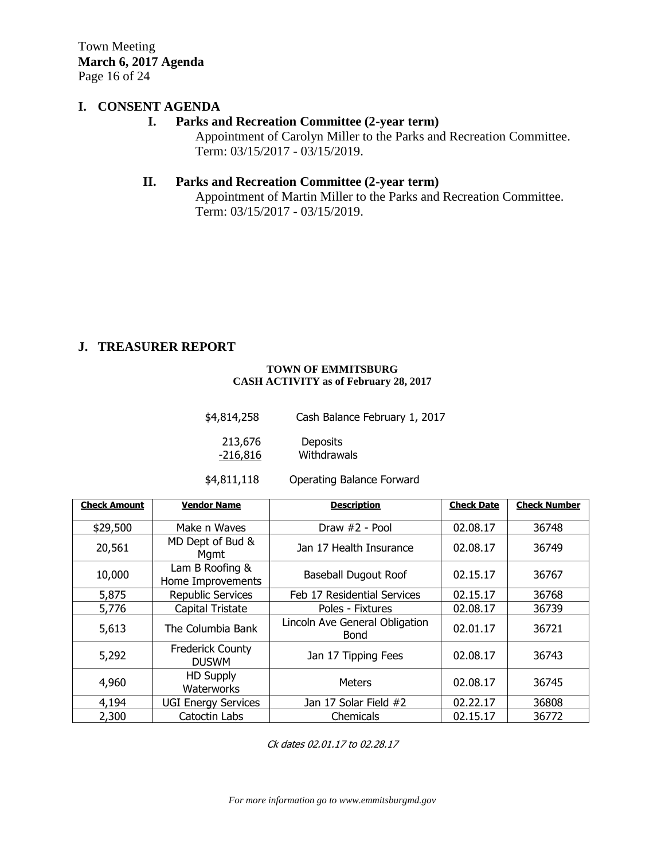Town Meeting **March 6, 2017 Agenda**  Page 16 of 24

## **I. CONSENT AGENDA**

## **I. Parks and Recreation Committee (2-year term)**

Appointment of Carolyn Miller to the Parks and Recreation Committee. Term: 03/15/2017 - 03/15/2019.

## **II. Parks and Recreation Committee (2-year term)**

Appointment of Martin Miller to the Parks and Recreation Committee. Term: 03/15/2017 - 03/15/2019.

## **J. TREASURER REPORT**

#### **TOWN OF EMMITSBURG CASH ACTIVITY as of February 28, 2017**

| \$4,814,258 | Cash Balance February 1, 2017 |
|-------------|-------------------------------|
| 213,676     | <b>Deposits</b>               |
| -216,816    | Withdrawals                   |

\$4,811,118 Operating Balance Forward

| <b>Check Amount</b> | <b>Vendor Name</b>                      | <b>Description</b>                            | <b>Check Date</b> | <b>Check Number</b> |
|---------------------|-----------------------------------------|-----------------------------------------------|-------------------|---------------------|
| \$29,500            | Make n Waves                            | Draw #2 - Pool                                | 02.08.17          | 36748               |
| 20,561              | MD Dept of Bud &<br>Mgmt                | Jan 17 Health Insurance                       | 02.08.17          | 36749               |
| 10,000              | Lam B Roofing &<br>Home Improvements    | <b>Baseball Dugout Roof</b>                   | 02.15.17          | 36767               |
| 5,875               | <b>Republic Services</b>                | Feb 17 Residential Services                   | 02.15.17          | 36768               |
| 5,776               | Capital Tristate                        | Poles - Fixtures                              | 02.08.17          | 36739               |
| 5,613               | The Columbia Bank                       | Lincoln Ave General Obligation<br><b>Bond</b> | 02.01.17          | 36721               |
| 5,292               | <b>Frederick County</b><br><b>DUSWM</b> | Jan 17 Tipping Fees                           | 02.08.17          | 36743               |
| 4,960               | <b>HD Supply</b><br>Waterworks          | <b>Meters</b>                                 | 02.08.17          | 36745               |
| 4,194               | <b>UGI Energy Services</b>              | Jan 17 Solar Field #2                         | 02.22.17          | 36808               |
| 2,300               | Catoctin Labs                           | Chemicals                                     | 02.15.17          | 36772               |

Ck dates 02.01.17 to 02.28.17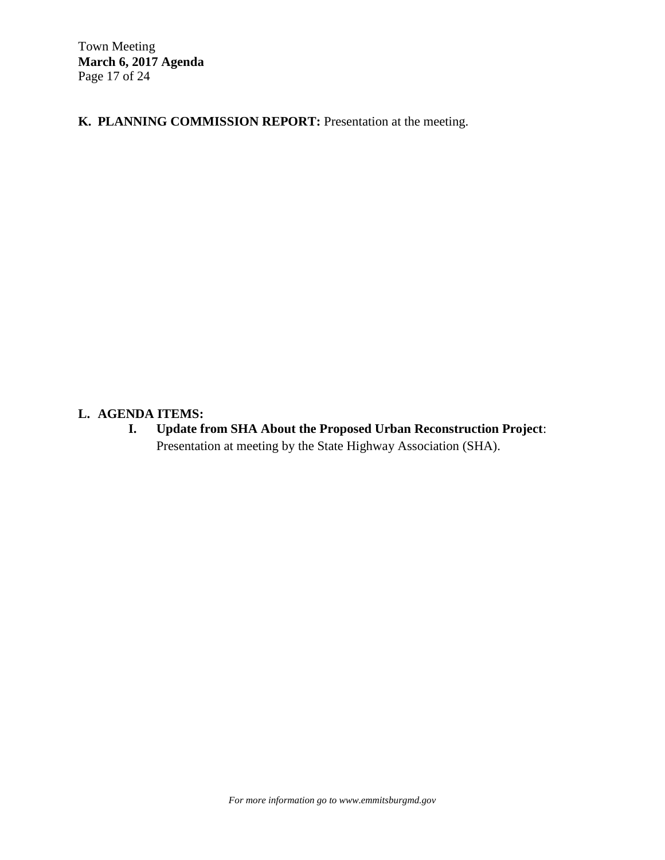Town Meeting **March 6, 2017 Agenda**  Page 17 of 24

**K. PLANNING COMMISSION REPORT:** Presentation at the meeting.

## **L. AGENDA ITEMS:**

**I. Update from SHA About the Proposed Urban Reconstruction Project**: Presentation at meeting by the State Highway Association (SHA).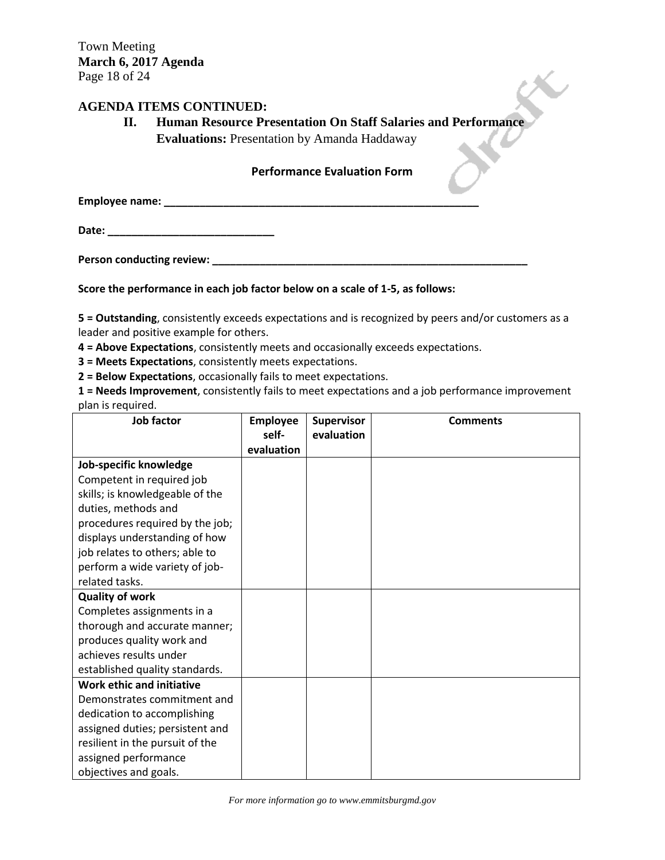## **AGENDA ITEMS CONTINUED:**

## **II. Human Resource Presentation On Staff Salaries and Performance**

**Evaluations:** Presentation by Amanda Haddaway

## **Performance Evaluation Form**

**Employee name: \_\_\_\_\_\_\_\_\_\_\_\_\_\_\_\_\_\_\_\_\_\_\_\_\_\_\_\_\_\_\_\_\_\_\_\_\_\_\_\_\_\_\_\_\_\_\_\_\_\_\_\_\_**

**Date: \_\_\_\_\_\_\_\_\_\_\_\_\_\_\_\_\_\_\_\_\_\_\_\_\_\_\_\_**

**Person conducting review: \_\_\_\_\_\_\_\_\_\_\_\_\_\_\_\_\_\_\_\_\_\_\_\_\_\_\_\_\_\_\_\_\_\_\_\_\_\_\_\_\_\_\_\_\_\_\_\_\_\_\_\_\_**

## **Score the performance in each job factor below on a scale of 1-5, as follows:**

**5 = Outstanding**, consistently exceeds expectations and is recognized by peers and/or customers as a leader and positive example for others.

**4 = Above Expectations**, consistently meets and occasionally exceeds expectations.

**3 = Meets Expectations**, consistently meets expectations.

**2 = Below Expectations**, occasionally fails to meet expectations.

**1 = Needs Improvement**, consistently fails to meet expectations and a job performance improvement plan is required.

| Job factor                       | <b>Employee</b>     | <b>Supervisor</b> | <b>Comments</b> |
|----------------------------------|---------------------|-------------------|-----------------|
|                                  | self-<br>evaluation | evaluation        |                 |
| Job-specific knowledge           |                     |                   |                 |
| Competent in required job        |                     |                   |                 |
| skills; is knowledgeable of the  |                     |                   |                 |
| duties, methods and              |                     |                   |                 |
| procedures required by the job;  |                     |                   |                 |
| displays understanding of how    |                     |                   |                 |
| job relates to others; able to   |                     |                   |                 |
| perform a wide variety of job-   |                     |                   |                 |
| related tasks.                   |                     |                   |                 |
| <b>Quality of work</b>           |                     |                   |                 |
| Completes assignments in a       |                     |                   |                 |
| thorough and accurate manner;    |                     |                   |                 |
| produces quality work and        |                     |                   |                 |
| achieves results under           |                     |                   |                 |
| established quality standards.   |                     |                   |                 |
| <b>Work ethic and initiative</b> |                     |                   |                 |
| Demonstrates commitment and      |                     |                   |                 |
| dedication to accomplishing      |                     |                   |                 |
| assigned duties; persistent and  |                     |                   |                 |
| resilient in the pursuit of the  |                     |                   |                 |
| assigned performance             |                     |                   |                 |
| objectives and goals.            |                     |                   |                 |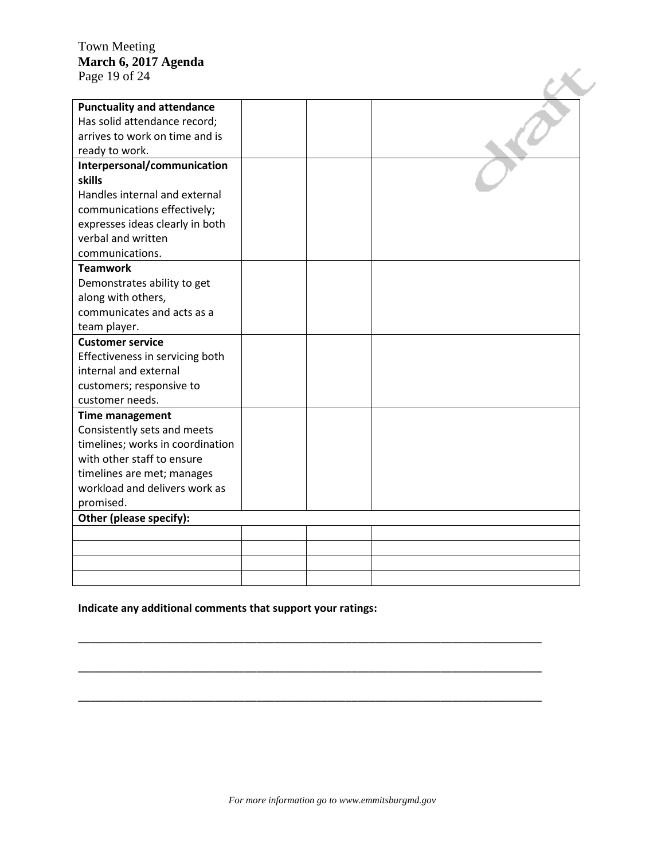## Town Meeting **March 6, 2017 Agenda**  Page 19 of 24

| March 6, 2017 Agenda                                              |  |  |
|-------------------------------------------------------------------|--|--|
| Page 19 of 24                                                     |  |  |
|                                                                   |  |  |
| <b>Punctuality and attendance</b><br>Has solid attendance record; |  |  |
| arrives to work on time and is                                    |  |  |
|                                                                   |  |  |
| ready to work.                                                    |  |  |
| Interpersonal/communication<br>skills                             |  |  |
| Handles internal and external                                     |  |  |
|                                                                   |  |  |
| communications effectively;                                       |  |  |
| expresses ideas clearly in both<br>verbal and written             |  |  |
| communications.                                                   |  |  |
| <b>Teamwork</b>                                                   |  |  |
|                                                                   |  |  |
| Demonstrates ability to get<br>along with others,                 |  |  |
| communicates and acts as a                                        |  |  |
|                                                                   |  |  |
| team player.<br><b>Customer service</b>                           |  |  |
| Effectiveness in servicing both                                   |  |  |
| internal and external                                             |  |  |
| customers; responsive to                                          |  |  |
| customer needs.                                                   |  |  |
|                                                                   |  |  |
| <b>Time management</b><br>Consistently sets and meets             |  |  |
| timelines; works in coordination                                  |  |  |
| with other staff to ensure                                        |  |  |
| timelines are met; manages                                        |  |  |
| workload and delivers work as                                     |  |  |
| promised.                                                         |  |  |
| Other (please specify):                                           |  |  |
|                                                                   |  |  |
|                                                                   |  |  |
|                                                                   |  |  |
|                                                                   |  |  |
|                                                                   |  |  |

## **Indicate any additional comments that support your ratings:**

\_\_\_\_\_\_\_\_\_\_\_\_\_\_\_\_\_\_\_\_\_\_\_\_\_\_\_\_\_\_\_\_\_\_\_\_\_\_\_\_\_\_\_\_\_\_\_\_\_\_\_\_\_\_\_\_\_\_\_\_\_\_\_\_\_\_\_\_\_\_\_\_\_\_\_\_\_\_

\_\_\_\_\_\_\_\_\_\_\_\_\_\_\_\_\_\_\_\_\_\_\_\_\_\_\_\_\_\_\_\_\_\_\_\_\_\_\_\_\_\_\_\_\_\_\_\_\_\_\_\_\_\_\_\_\_\_\_\_\_\_\_\_\_\_\_\_\_\_\_\_\_\_\_\_\_\_

\_\_\_\_\_\_\_\_\_\_\_\_\_\_\_\_\_\_\_\_\_\_\_\_\_\_\_\_\_\_\_\_\_\_\_\_\_\_\_\_\_\_\_\_\_\_\_\_\_\_\_\_\_\_\_\_\_\_\_\_\_\_\_\_\_\_\_\_\_\_\_\_\_\_\_\_\_\_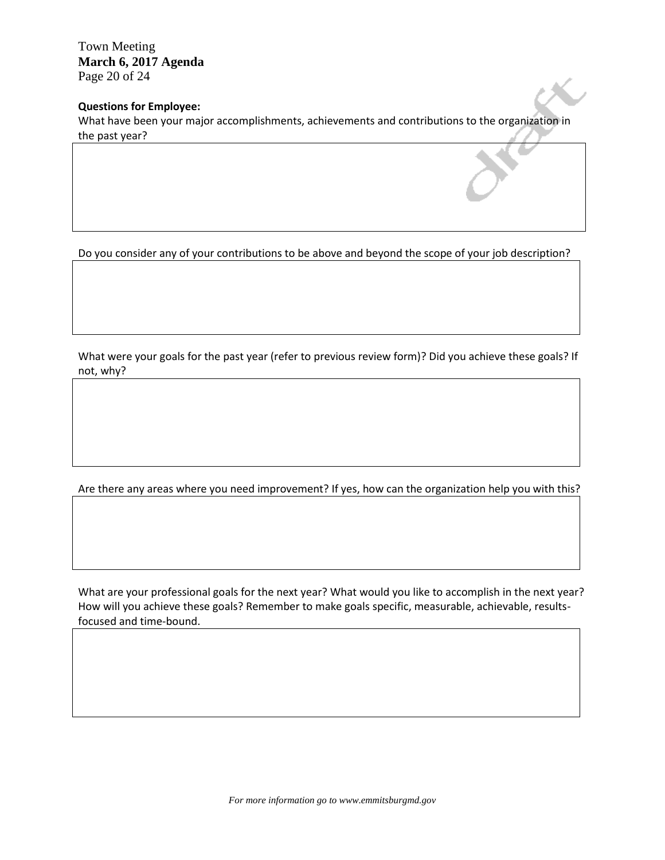Town Meeting **March 6, 2017 Agenda**  Page 20 of 24

## **Questions for Employee:**

What have been your major accomplishments, achievements and contributions to the organization in the past year?

Do you consider any of your contributions to be above and beyond the scope of your job description?

What were your goals for the past year (refer to previous review form)? Did you achieve these goals? If not, why?

Are there any areas where you need improvement? If yes, how can the organization help you with this?

What are your professional goals for the next year? What would you like to accomplish in the next year? How will you achieve these goals? Remember to make goals specific, measurable, achievable, resultsfocused and time-bound.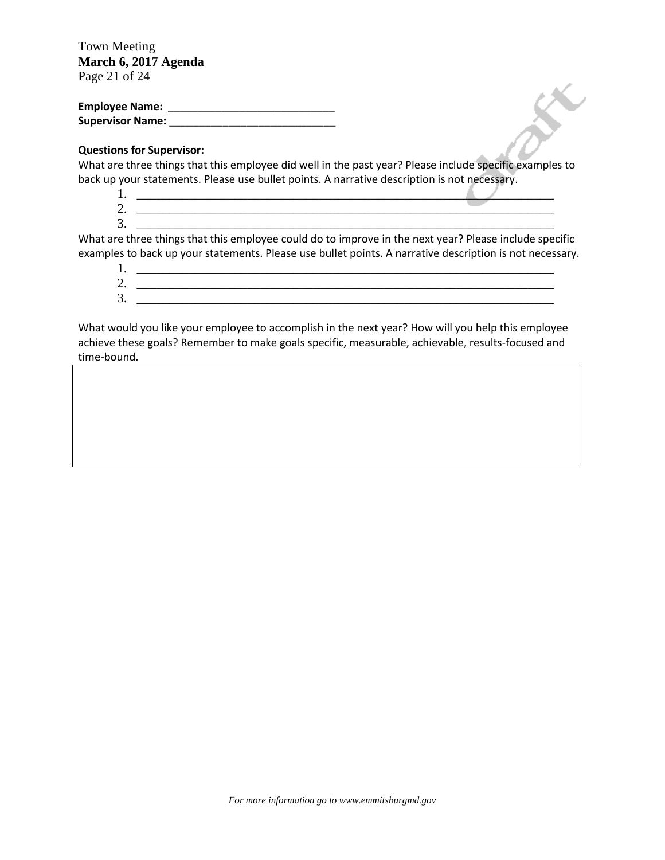Town Meeting **March 6, 2017 Agenda**  Page 21 of 24

| <b>Employee Name:</b>   |  |
|-------------------------|--|
| <b>Supervisor Name:</b> |  |

## **Questions for Supervisor:**

What are three things that this employee did well in the past year? Please include specific examples to back up your statements. Please use bullet points. A narrative description is not necessary.

- 1.  $\Box$
- 2. \_\_\_\_\_\_\_\_\_\_\_\_\_\_\_\_\_\_\_\_\_\_\_\_\_\_\_\_\_\_\_\_\_\_\_\_\_\_\_\_\_\_\_\_\_\_\_\_\_\_\_\_\_\_\_\_\_\_\_\_\_\_\_\_  $3.$   $\overline{\phantom{a}}$

What are three things that this employee could do to improve in the next year? Please include specific examples to back up your statements. Please use bullet points. A narrative description is not necessary.

1. \_\_\_\_\_\_\_\_\_\_\_\_\_\_\_\_\_\_\_\_\_\_\_\_\_\_\_\_\_\_\_\_\_\_\_\_\_\_\_\_\_\_\_\_\_\_\_\_\_\_\_\_\_\_\_\_\_\_\_\_\_\_\_\_ 2. \_\_\_\_\_\_\_\_\_\_\_\_\_\_\_\_\_\_\_\_\_\_\_\_\_\_\_\_\_\_\_\_\_\_\_\_\_\_\_\_\_\_\_\_\_\_\_\_\_\_\_\_\_\_\_\_\_\_\_\_\_\_\_\_ 3. \_\_\_\_\_\_\_\_\_\_\_\_\_\_\_\_\_\_\_\_\_\_\_\_\_\_\_\_\_\_\_\_\_\_\_\_\_\_\_\_\_\_\_\_\_\_\_\_\_\_\_\_\_\_\_\_\_\_\_\_\_\_\_\_

What would you like your employee to accomplish in the next year? How will you help this employee achieve these goals? Remember to make goals specific, measurable, achievable, results-focused and time-bound.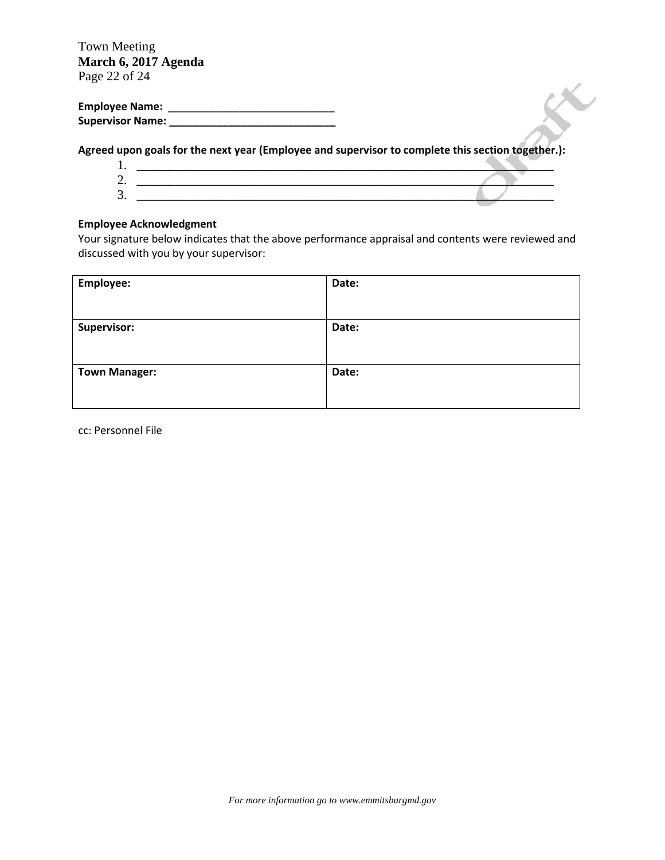Town Meeting **March 6, 2017 Agenda**  Page 22 of 24

**Employee Name:** \_\_\_\_\_\_\_\_\_\_\_\_\_\_\_\_\_\_\_\_\_\_\_\_\_\_\_\_ **Supervisor Name: \_\_\_\_\_\_\_\_\_\_\_\_\_\_\_\_\_\_\_\_\_\_\_\_\_\_\_\_**

**Agreed upon goals for the next year (Employee and supervisor to complete this section together.):**



## **Employee Acknowledgment**

Your signature below indicates that the above performance appraisal and contents were reviewed and discussed with you by your supervisor:

| Employee:            | Date: |
|----------------------|-------|
| Supervisor:          | Date: |
| <b>Town Manager:</b> | Date: |

cc: Personnel File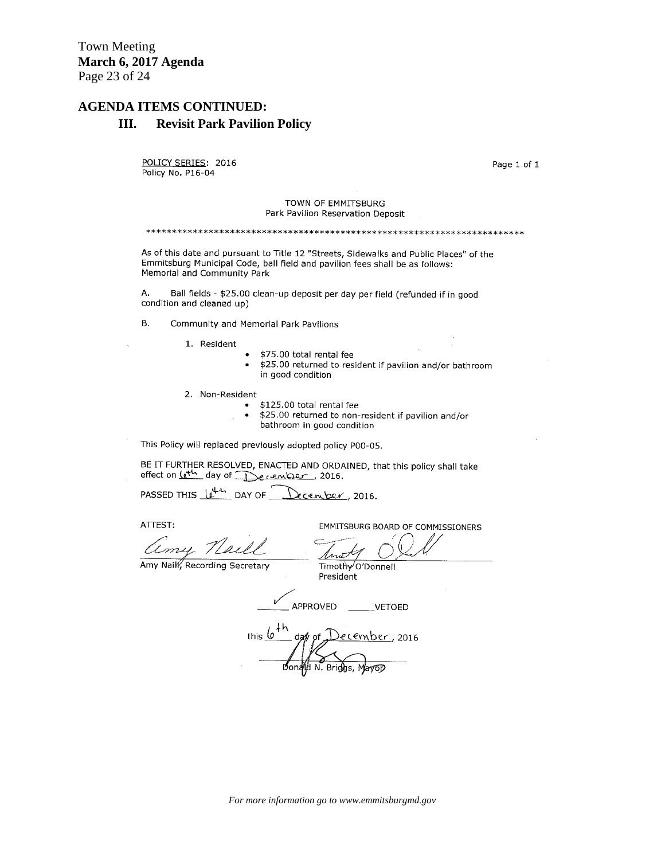Town Meeting **March 6, 2017 Agenda**  Page 23 of 24

## **AGENDA ITEMS CONTINUED:**

#### **III. Revisit Park Pavilion Policy**

POLICY SERIES: 2016 Policy No. P16-04

Page 1 of 1

#### TOWN OF EMMITSBURG Park Pavilion Reservation Deposit

As of this date and pursuant to Title 12 "Streets, Sidewalks and Public Places" of the Emmitsburg Municipal Code, ball field and pavilion fees shall be as follows: Memorial and Community Park

Α. Ball fields - \$25.00 clean-up deposit per day per field (refunded if in good condition and cleaned up)

- **B.** Community and Memorial Park Pavilions
	- 1. Resident
- \$75.00 total rental fee
- \$25.00 returned to resident if pavilion and/or bathroom in good condition
- 2. Non-Resident
	- \$125.00 total rental fee
		- \$25.00 returned to non-resident if pavilion and/or  $\bullet$ bathroom in good condition

This Policy will replaced previously adopted policy P00-05.

BE IT FURTHER RESOLVED, ENACTED AND ORDAINED, that this policy shall take effect on <u>leth</u> day of December, 2016.

PASSED THIS 10<sup>44</sup> DAY OF December, 2016.

ATTEST:

amy Norell

EMMITSBURG BOARD OF COMMISSIONERS

Amy Nail, Recording Secretary

Timothy O'Donnell President

APPROVED \_\_\_\_\_\_VETOED

<u>)ecember</u>, 2016